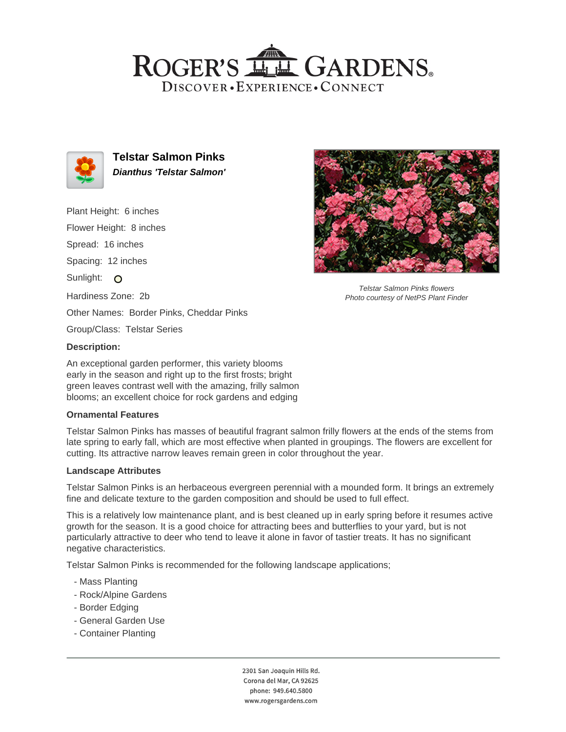## ROGER'S LL GARDENS. DISCOVER · EXPERIENCE · CONNECT



**Telstar Salmon Pinks Dianthus 'Telstar Salmon'**

Plant Height: 6 inches Flower Height: 8 inches Spread: 16 inches Spacing: 12 inches Sunlight: O Hardiness Zone: 2b Other Names: Border Pinks, Cheddar Pinks Group/Class: Telstar Series

#### **Description:**

An exceptional garden performer, this variety blooms early in the season and right up to the first frosts; bright green leaves contrast well with the amazing, frilly salmon blooms; an excellent choice for rock gardens and edging

## **Ornamental Features**

Telstar Salmon Pinks has masses of beautiful fragrant salmon frilly flowers at the ends of the stems from late spring to early fall, which are most effective when planted in groupings. The flowers are excellent for cutting. Its attractive narrow leaves remain green in color throughout the year.

#### **Landscape Attributes**

Telstar Salmon Pinks is an herbaceous evergreen perennial with a mounded form. It brings an extremely fine and delicate texture to the garden composition and should be used to full effect.

This is a relatively low maintenance plant, and is best cleaned up in early spring before it resumes active growth for the season. It is a good choice for attracting bees and butterflies to your yard, but is not particularly attractive to deer who tend to leave it alone in favor of tastier treats. It has no significant negative characteristics.

Telstar Salmon Pinks is recommended for the following landscape applications;

- Mass Planting
- Rock/Alpine Gardens
- Border Edging
- General Garden Use
- Container Planting



Telstar Salmon Pinks flowers Photo courtesy of NetPS Plant Finder

2301 San Joaquin Hills Rd. Corona del Mar, CA 92625 phone: 949.640.5800 www.rogersgardens.com